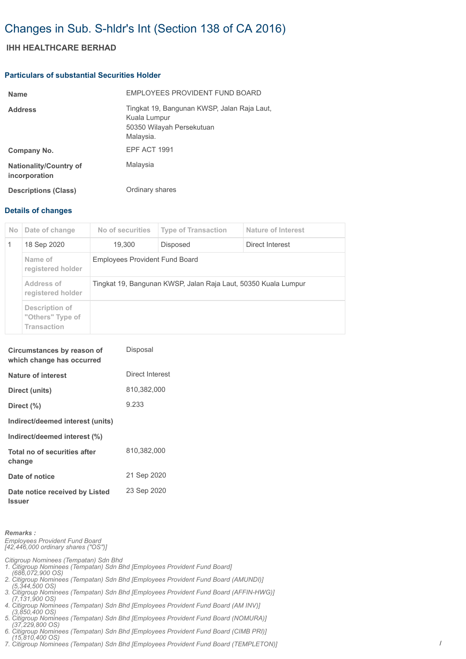# Changes in Sub. S-hldr's Int (Section 138 of CA 2016)

## **IHH HEALTHCARE BERHAD**

#### **Particulars of substantial Securities Holder**

| <b>Name</b>                                    | EMPLOYEES PROVIDENT FUND BOARD                                                                        |
|------------------------------------------------|-------------------------------------------------------------------------------------------------------|
| <b>Address</b>                                 | Tingkat 19, Bangunan KWSP, Jalan Raja Laut,<br>Kuala Lumpur<br>50350 Wilayah Persekutuan<br>Malaysia. |
| Company No.                                    | <b>EPF ACT 1991</b>                                                                                   |
| <b>Nationality/Country of</b><br>incorporation | Malaysia                                                                                              |
| <b>Descriptions (Class)</b>                    | Ordinary shares                                                                                       |

### **Details of changes**

| No. | Date of change                                           | No of securities                                               | <b>Type of Transaction</b> | Nature of Interest |  |
|-----|----------------------------------------------------------|----------------------------------------------------------------|----------------------------|--------------------|--|
| -1  | 18 Sep 2020                                              | 19.300                                                         | Disposed                   | Direct Interest    |  |
|     | Name of<br>registered holder                             | <b>Employees Provident Fund Board</b>                          |                            |                    |  |
|     | Address of<br>registered holder                          | Tingkat 19, Bangunan KWSP, Jalan Raja Laut, 50350 Kuala Lumpur |                            |                    |  |
|     | Description of<br>"Others" Type of<br><b>Transaction</b> |                                                                |                            |                    |  |

| Circumstances by reason of<br>which change has occurred | Disposal        |
|---------------------------------------------------------|-----------------|
| Nature of interest                                      | Direct Interest |
| Direct (units)                                          | 810,382,000     |
| Direct $(\%)$                                           | 9.233           |
| Indirect/deemed interest (units)                        |                 |
| Indirect/deemed interest (%)                            |                 |
| Total no of securities after<br>change                  | 810.382.000     |
| Date of notice                                          | 21 Sep 2020     |
| Date notice received by Listed<br><b>Issuer</b>         | 23 Sep 2020     |

*Remarks : Employees Provident Fund Board [42,446,000 ordinary shares ("OS")]*

*Citigroup Nominees (Tempatan) Sdn Bhd 1. Citigroup Nominees (Tempatan) Sdn Bhd [Employees Provident Fund Board] (686,072,900 OS)*

*2. Citigroup Nominees (Tempatan) Sdn Bhd [Employees Provident Fund Board (AMUNDI)] (5,344,500 OS)*

*3. Citigroup Nominees (Tempatan) Sdn Bhd [Employees Provident Fund Board (AFFIN-HWG)]* 

 *(7,131,900 OS) 4. Citigroup Nominees (Tempatan) Sdn Bhd [Employees Provident Fund Board (AM INV)]* 

 *(3,850,400 OS) 5. Citigroup Nominees (Tempatan) Sdn Bhd [Employees Provident Fund Board (NOMURA)]* 

 *(37,229,800 OS) 6. Citigroup Nominees (Tempatan) Sdn Bhd [Employees Provident Fund Board (CIMB PRI)]* 

 *(15,810,400 OS) 7. Citigroup Nominees (Tempatan) Sdn Bhd [Employees Provident Fund Board (TEMPLETON)]*